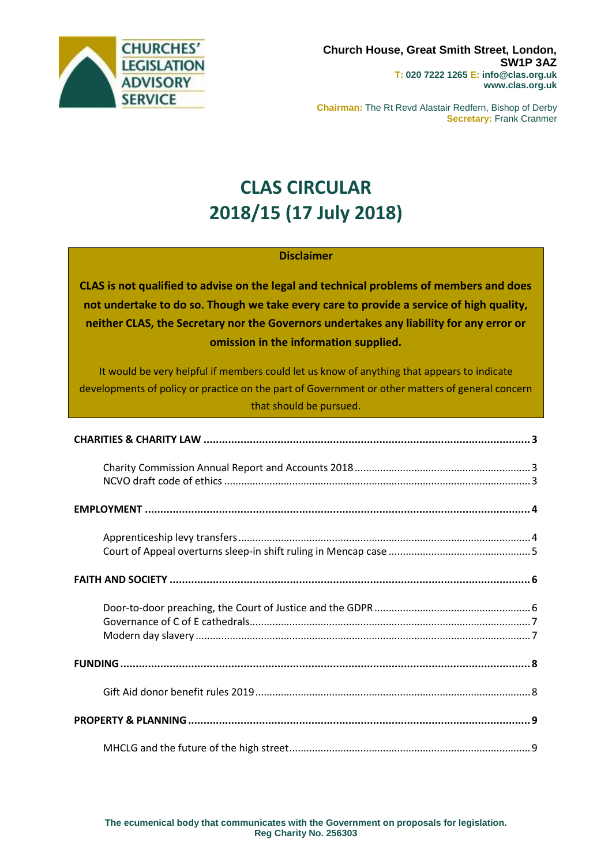

**Chairman:** The Rt Revd Alastair Redfern, Bishop of Derby **Secretary:** Frank Cranmer

# **CLAS CIRCULAR 2018/15 (17 July 2018)**

### **Disclaimer**

**CLAS is not qualified to advise on the legal and technical problems of members and does not undertake to do so. Though we take every care to provide a service of high quality, neither CLAS, the Secretary nor the Governors undertakes any liability for any error or omission in the information supplied.**

It would be very helpful if members could let us know of anything that appears to indicate developments of policy or practice on the part of Government or other matters of general concern that should be pursued.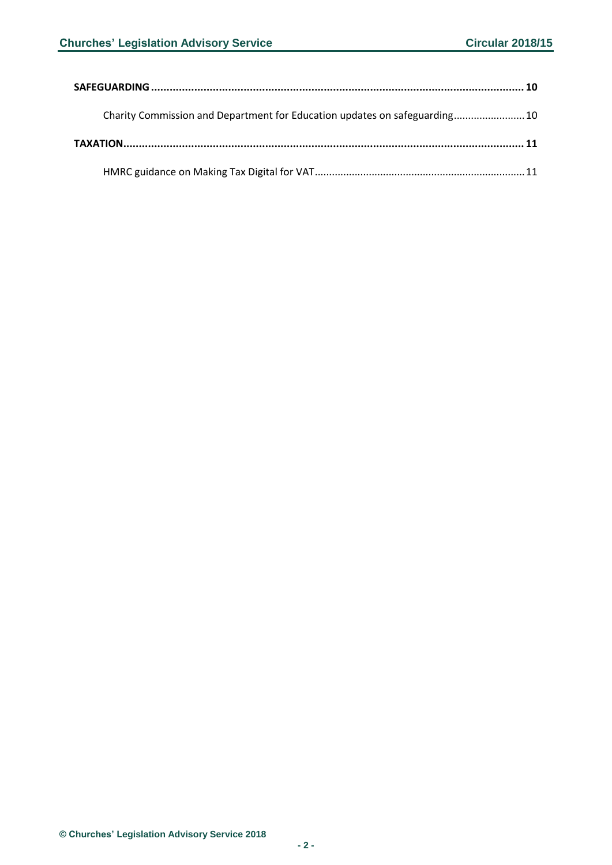| Charity Commission and Department for Education updates on safeguarding10 |
|---------------------------------------------------------------------------|
|                                                                           |
|                                                                           |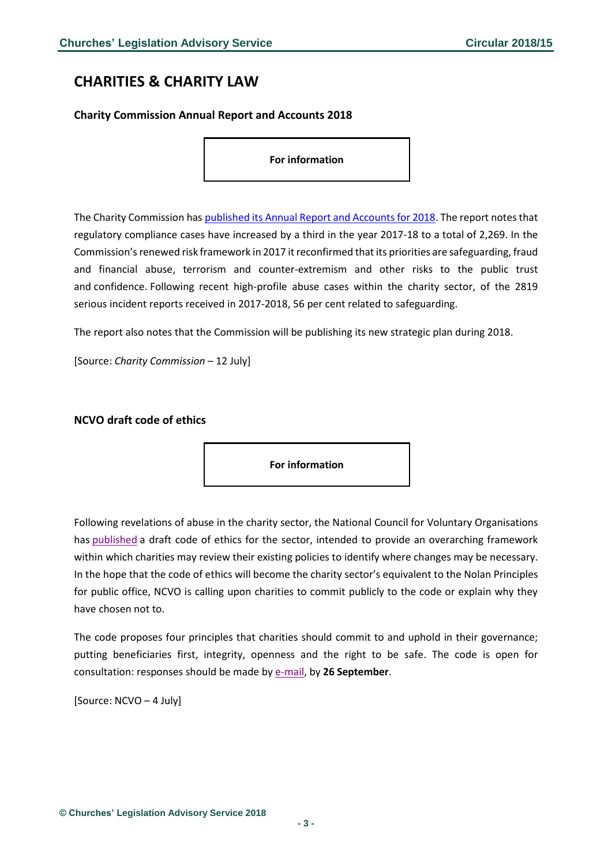### <span id="page-2-0"></span>**CHARITIES & CHARITY LAW**

#### <span id="page-2-1"></span>**Charity Commission Annual Report and Accounts 2018**

**For information**

The Charity Commission has [published its Annual Report and Accounts for 2018.](https://assets.publishing.service.gov.uk/government/uploads/system/uploads/attachment_data/file/724952/CC_Annual-Report-Accounts-2017-18_A4_web.pdf) The report notes that regulatory compliance cases have increased by a third in the year 2017-18 to a total of 2,269. In the Commission's renewed risk framework in 2017 it reconfirmed that its priorities are safeguarding, fraud and financial abuse, terrorism and counter-extremism and other risks to the public trust and confidence. Following recent high-profile abuse cases within the charity sector, of the 2819 serious incident reports received in 2017-2018, 56 per cent related to safeguarding.

The report also notes that the Commission will be publishing its new strategic plan during 2018.

<span id="page-2-2"></span>[Source: *Charity Commission* – 12 July]

#### **NCVO draft code of ethics**

**For information**

Following revelations of abuse in the charity sector, the National Council for Voluntary Organisations has [published](http://files-eu.clickdimensions.com/ncvoorguk-ahxvj/files/charitycodeofethics.pdf?_cldee=cHJlc3NyZWxlYXNlc0Bkb2RzbW9uaXRvcmluZy5jb20%3D&recipientid=contact-a320b98b1d98e411acd8d89d67633e08-dd7b0069ec114aa39ab984be3e7de4de&esid=e4286c16-c57e-e811-816f-e0071b65cec1&urlid=1) a draft code of ethics for the sector, intended to provide an overarching framework within which charities may review their existing policies to identify where changes may be necessary. In the hope that the code of ethics will become the charity sector's equivalent to the Nolan Principles for public office, NCVO is calling upon charities to commit publicly to the code or explain why they have chosen not to.

The code proposes four principles that charities should commit to and uphold in their governance; putting beneficiaries first, integrity, openness and the right to be safe. The code is open for consultation: responses should be made by [e-mail,](mailto:policy@ncvo.org.uk) by **26 September**.

[Source: NCVO – 4 July]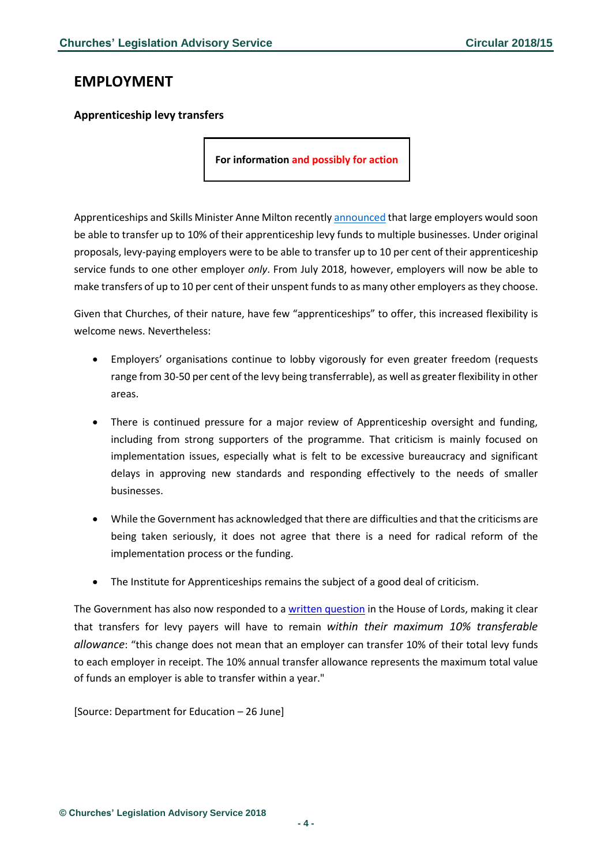### <span id="page-3-0"></span>**EMPLOYMENT**

#### <span id="page-3-1"></span>**Apprenticeship levy transfers**

**For information and possibly for action**

Apprenticeships and Skills Minister Anne Milton recently [announced](http://www.gov.uk/government/news/greater-flexibility-for-apprenticeship-levy-as-transfers-extended) that large employers would soon be able to transfer up to 10% of their apprenticeship levy funds to multiple businesses. Under original proposals, levy-paying employers were to be able to transfer up to 10 per cent of their apprenticeship service funds to one other employer *only*. From July 2018, however, employers will now be able to make transfers of up to 10 per cent of their unspent funds to as many other employers as they choose.

Given that Churches, of their nature, have few "apprenticeships" to offer, this increased flexibility is welcome news. Nevertheless:

- Employers' organisations continue to lobby vigorously for even greater freedom (requests range from 30-50 per cent of the levy being transferrable), as well as greater flexibility in other areas.
- There is continued pressure for a major review of Apprenticeship oversight and funding, including from strong supporters of the programme. That criticism is mainly focused on implementation issues, especially what is felt to be excessive bureaucracy and significant delays in approving new standards and responding effectively to the needs of smaller businesses.
- While the Government has acknowledged that there are difficulties and that the criticisms are being taken seriously, it does not agree that there is a need for radical reform of the implementation process or the funding.
- The Institute for Apprenticeships remains the subject of a good deal of criticism.

The Government has also now responded to a written [question](https://www.parliament.uk/business/publications/written-questions-answers-statements/written-question/Lords/2018-06-28/HL9059) in the House of Lords, making it clear that transfers for levy payers will have to remain *within their maximum 10% transferable allowance*: "this change does not mean that an employer can transfer 10% of their total levy funds to each employer in receipt. The 10% annual transfer allowance represents the maximum total value of funds an employer is able to transfer within a year."

[Source: Department for Education – 26 June]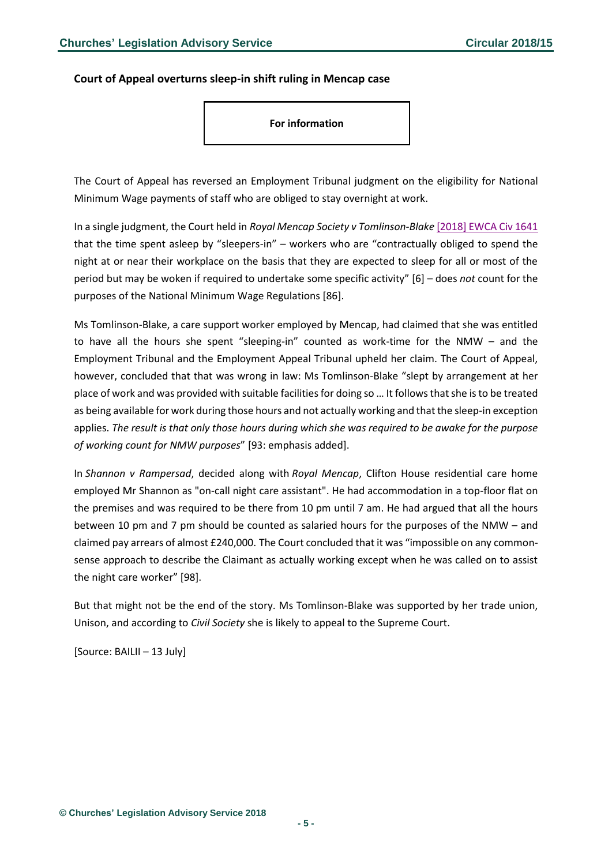#### <span id="page-4-0"></span>**Court of Appeal overturns sleep-in shift ruling in Mencap case**

#### **For information**

The Court of Appeal has reversed an Employment Tribunal judgment on the eligibility for National Minimum Wage payments of staff who are obliged to stay overnight at work.

In a single judgment, the Court held in *Royal Mencap Society v Tomlinson-Blake* [\[2018\] EWCA Civ 1641](http://www.bailii.org/ew/cases/EWCA/Civ/2018/1641.html) that the time spent asleep by "sleepers-in" – workers who are "contractually obliged to spend the night at or near their workplace on the basis that they are expected to sleep for all or most of the period but may be woken if required to undertake some specific activity" [6] – does *not* count for the purposes of the National Minimum Wage Regulations [86].

Ms Tomlinson-Blake, a care support worker employed by Mencap, had claimed that she was entitled to have all the hours she spent "sleeping-in" counted as work-time for the NMW – and the Employment Tribunal and the Employment Appeal Tribunal upheld her claim. The Court of Appeal, however, concluded that that was wrong in law: Ms Tomlinson-Blake "slept by arrangement at her place of work and was provided with suitable facilities for doing so … It follows that she is to be treated as being available for work during those hours and not actually working and that the sleep-in exception applies. *The result is that only those hours during which she was required to be awake for the purpose of working count for NMW purposes*" [93: emphasis added].

In *Shannon v Rampersad*, decided along with *Royal Mencap*, Clifton House residential care home employed Mr Shannon as "on-call night care assistant". He had accommodation in a top-floor flat on the premises and was required to be there from 10 pm until 7 am. He had argued that all the hours between 10 pm and 7 pm should be counted as salaried hours for the purposes of the NMW – and claimed pay arrears of almost £240,000. The Court concluded that it was "impossible on any commonsense approach to describe the Claimant as actually working except when he was called on to assist the night care worker" [98].

But that might not be the end of the story. Ms Tomlinson-Blake was supported by her trade union, Unison, and according to *Civil Society* she is likely to appeal to the Supreme Court.

[Source: BAILII – 13 July]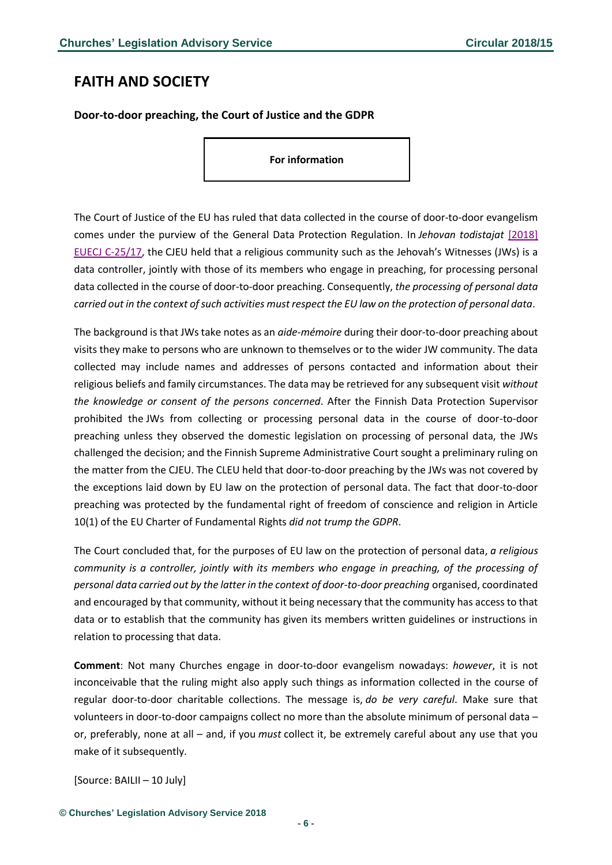# <span id="page-5-0"></span>**FAITH AND SOCIETY**

<span id="page-5-1"></span>**Door-to-door preaching, the Court of Justice and the GDPR**

**For information**

The Court of Justice of the EU has ruled that data collected in the course of door-to-door evangelism comes under the purview of the General Data Protection Regulation. In *Jehovan todistajat* [\[2018\]](http://www.bailii.org/eu/cases/EUECJ/2018/C2517.html)  [EUECJ C-25/17,](http://www.bailii.org/eu/cases/EUECJ/2018/C2517.html) the CJEU held that a religious community such as the Jehovah's Witnesses (JWs) is a data controller, jointly with those of its members who engage in preaching, for processing personal data collected in the course of door-to-door preaching. Consequently, *the processing of personal data carried out in the context of such activities must respect the EU law on the protection of personal data*.

The background is that JWs take notes as an *aide-mémoire* during their door-to-door preaching about visits they make to persons who are unknown to themselves or to the wider JW community. The data collected may include names and addresses of persons contacted and information about their religious beliefs and family circumstances. The data may be retrieved for any subsequent visit *without the knowledge or consent of the persons concerned*. After the Finnish Data Protection Supervisor prohibited the JWs from collecting or processing personal data in the course of door-to-door preaching unless they observed the domestic legislation on processing of personal data, the JWs challenged the decision; and the Finnish Supreme Administrative Court sought a preliminary ruling on the matter from the CJEU. The CLEU held that door-to-door preaching by the JWs was not covered by the exceptions laid down by EU law on the protection of personal data. The fact that door-to-door preaching was protected by the fundamental right of freedom of conscience and religion in Article 10(1) of the EU Charter of Fundamental Rights *did not trump the GDPR*.

The Court concluded that, for the purposes of EU law on the protection of personal data, *a religious community is a controller, jointly with its members who engage in preaching, of the processing of personal data carried out by the latter in the context of door-to-door preaching* organised, coordinated and encouraged by that community, without it being necessary that the community has access to that data or to establish that the community has given its members written guidelines or instructions in relation to processing that data.

**Comment**: Not many Churches engage in door-to-door evangelism nowadays: *however*, it is not inconceivable that the ruling might also apply such things as information collected in the course of regular door-to-door charitable collections. The message is, *do be very careful*. Make sure that volunteers in door-to-door campaigns collect no more than the absolute minimum of personal data – or, preferably, none at all – and, if you *must* collect it, be extremely careful about any use that you make of it subsequently.

[Source: BAILII – 10 July]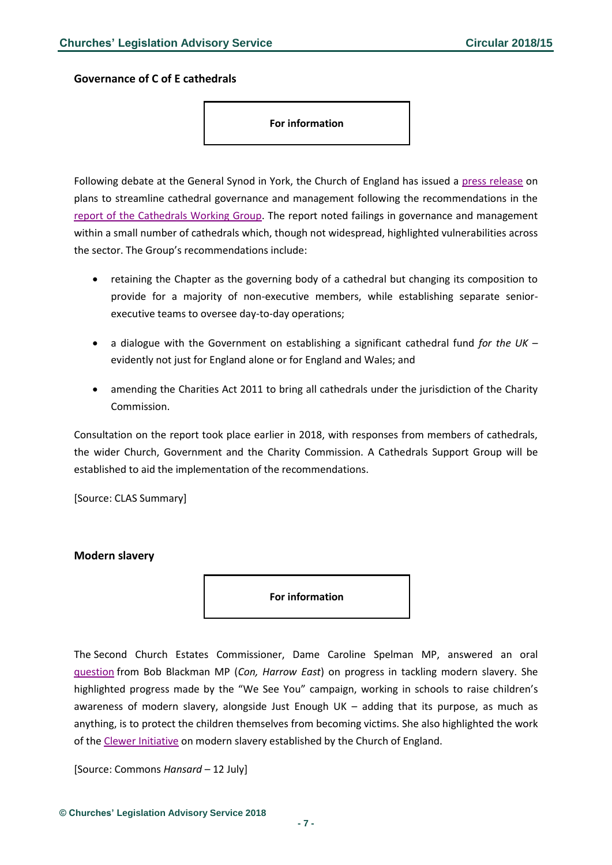<span id="page-6-0"></span>**Governance of C of E cathedrals**

**For information**

Following debate at the General Synod in York, the Church of England has issued a [press release](https://www.churchofengland.org/more/media-centre/news/church-england-approves-ideas-support-and-streamline-englands-cathedrals) on plans to streamline cathedral governance and management following the recommendations in the [report of the Cathedrals Working Group.](https://www.churchofengland.org/sites/default/files/2018-06/Cathedrals%20Working%20Group%20-%20Final%20Report_0.pdf) The report noted failings in governance and management within a small number of cathedrals which, though not widespread, highlighted vulnerabilities across the sector. The Group's recommendations include:

- retaining the Chapter as the governing body of a cathedral but changing its composition to provide for a majority of non-executive members, while establishing separate seniorexecutive teams to oversee day-to-day operations;
- a dialogue with the Government on establishing a significant cathedral fund *for the UK* evidently not just for England alone or for England and Wales; and
- amending the Charities Act 2011 to bring all cathedrals under the jurisdiction of the Charity Commission.

Consultation on the report took place earlier in 2018, with responses from members of cathedrals, the wider Church, Government and the Charity Commission. A Cathedrals Support Group will be established to aid the implementation of the recommendations.

[Source: CLAS Summary]

#### <span id="page-6-1"></span>**Modern slavery**

**For information**

The Second Church Estates Commissioner, Dame Caroline Spelman MP, answered an oral [question](https://hansard.parliament.uk/Commons/2018-07-12/debates/5398B116-C81E-49FB-9FA4-E4951B57BEE6/ModernDaySlavery) from Bob Blackman MP (*Con, Harrow East*) on progress in tackling modern slavery. She highlighted progress made by the "We See You" campaign, working in schools to raise children's awareness of modern slavery, alongside Just Enough UK – adding that its purpose, as much as anything, is to protect the children themselves from becoming victims. She also highlighted the work of the [Clewer Initiative](https://www.theclewerinitiative.org/) on modern slavery established by the Church of England.

[Source: Commons *Hansard* – 12 July]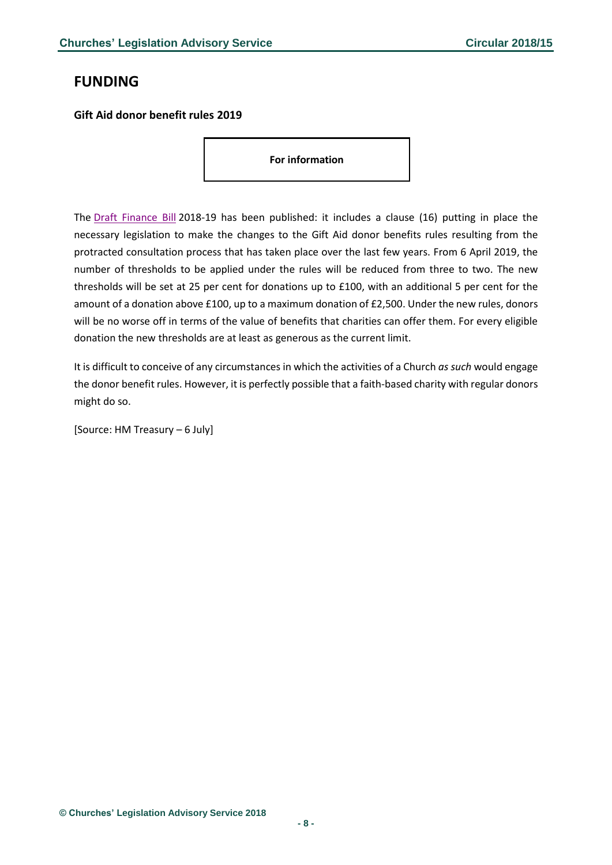# <span id="page-7-0"></span>**FUNDING**

<span id="page-7-1"></span>**Gift Aid donor benefit rules 2019**

**For information**

The [Draft Finance Bill](http://assets.publishing.service.gov.uk/government/uploads/system/uploads/attachment_data/file/723030/Draft_Finance_Bill.pdf) 2018-19 has been published: it includes a clause (16) putting in place the necessary legislation to make the changes to the Gift Aid donor benefits rules resulting from the protracted consultation process that has taken place over the last few years. From 6 April 2019, the number of thresholds to be applied under the rules will be reduced from three to two. The new thresholds will be set at 25 per cent for donations up to £100, with an additional 5 per cent for the amount of a donation above £100, up to a maximum donation of £2,500. Under the new rules, donors will be no worse off in terms of the value of benefits that charities can offer them. For every eligible donation the new thresholds are at least as generous as the current limit.

It is difficult to conceive of any circumstances in which the activities of a Church *as such* would engage the donor benefit rules. However, it is perfectly possible that a faith-based charity with regular donors might do so.

[Source: HM Treasury – 6 July]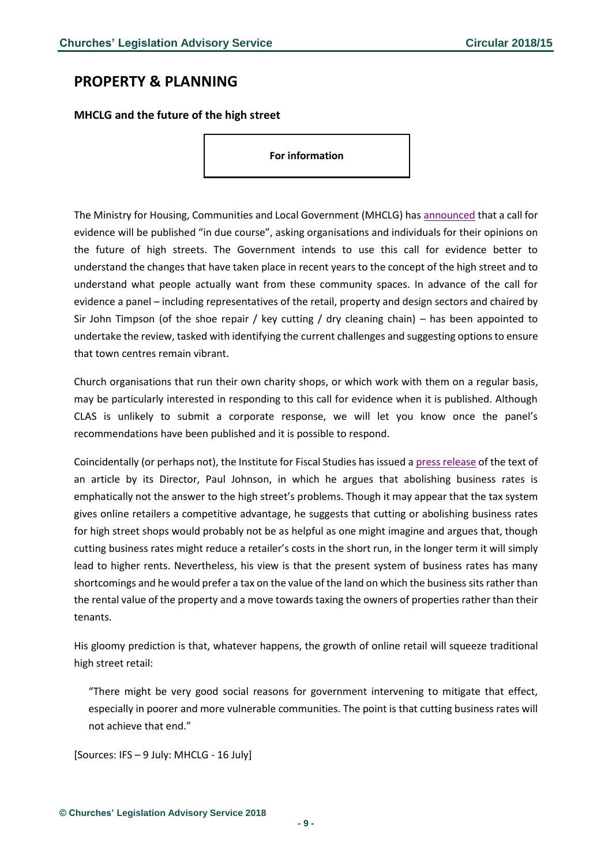### <span id="page-8-0"></span>**PROPERTY & PLANNING**

#### <span id="page-8-1"></span>**MHCLG and the future of the high street**

**For information**

The Ministry for Housing, Communities and Local Government (MHCLG) has [announced](https://www.gov.uk/government/news/expert-panel-appointed-to-advise-on-the-future-of-the-high-street) that a call for evidence will be published "in due course", asking organisations and individuals for their opinions on the future of high streets. The Government intends to use this call for evidence better to understand the changes that have taken place in recent years to the concept of the high street and to understand what people actually want from these community spaces. In advance of the call for evidence a panel – including representatives of the retail, property and design sectors and chaired by Sir John Timpson (of the shoe repair / key cutting / dry cleaning chain) – has been appointed to undertake the review, tasked with identifying the current challenges and suggesting options to ensure that town centres remain vibrant.

Church organisations that run their own charity shops, or which work with them on a regular basis, may be particularly interested in responding to this call for evidence when it is published. Although CLAS is unlikely to submit a corporate response, we will let you know once the panel's recommendations have been published and it is possible to respond.

Coincidentally (or perhaps not), the Institute for Fiscal Studies has issued a [press release](https://www.ifs.org.uk/publications/13132) of the text of an article by its Director, Paul Johnson, in which he argues that abolishing business rates is emphatically not the answer to the high street's problems. Though it may appear that the tax system gives online retailers a competitive advantage, he suggests that cutting or abolishing business rates for high street shops would probably not be as helpful as one might imagine and argues that, though cutting business rates might reduce a retailer's costs in the short run, in the longer term it will simply lead to higher rents. Nevertheless, his view is that the present system of business rates has many shortcomings and he would prefer a tax on the value of the land on which the business sits rather than the rental value of the property and a move towards taxing the owners of properties rather than their tenants.

His gloomy prediction is that, whatever happens, the growth of online retail will squeeze traditional high street retail:

"There might be very good social reasons for government intervening to mitigate that effect, especially in poorer and more vulnerable communities. The point is that cutting business rates will not achieve that end."

[Sources: IFS – 9 July: MHCLG - 16 July]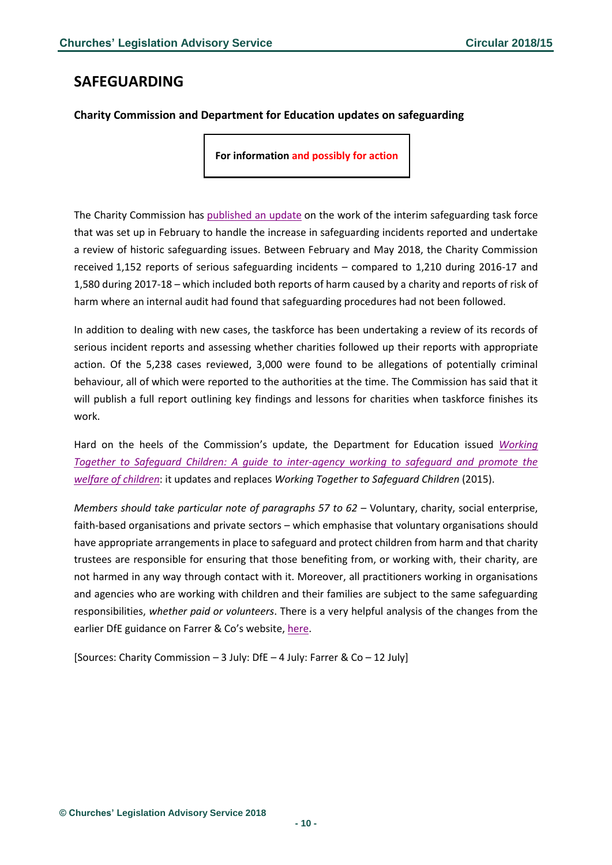# <span id="page-9-0"></span>**SAFEGUARDING**

### <span id="page-9-1"></span>**Charity Commission and Department for Education updates on safeguarding**

**For information and possibly for action**

The Charity Commission has [published an update](https://www.gov.uk/government/news/regulator-provides-update-on-work-of-its-interim-safeguarding-taskforce) on the work of the interim safeguarding task force that was set up in February to handle the increase in safeguarding incidents reported and undertake a review of historic safeguarding issues. Between February and May 2018, the Charity Commission received 1,152 reports of serious safeguarding incidents – compared to 1,210 during 2016-17 and 1,580 during 2017-18 – which included both reports of harm caused by a charity and reports of risk of harm where an internal audit had found that safeguarding procedures had not been followed.

In addition to dealing with new cases, the taskforce has been undertaking a review of its records of serious incident reports and assessing whether charities followed up their reports with appropriate action. Of the 5,238 cases reviewed, 3,000 were found to be allegations of potentially criminal behaviour, all of which were reported to the authorities at the time. The Commission has said that it will publish a full report outlining key findings and lessons for charities when taskforce finishes its work.

Hard on the heels of the Commission's update, the Department for Education issued *[Working](https://assets.publishing.service.gov.uk/government/uploads/system/uploads/attachment_data/file/722305/Working_Together_to_Safeguard_Children_-_Guide.pdf)  [Together to Safeguard Children: A guide to inter-agency working to safeguard and promote the](https://assets.publishing.service.gov.uk/government/uploads/system/uploads/attachment_data/file/722305/Working_Together_to_Safeguard_Children_-_Guide.pdf)  [welfare of children](https://assets.publishing.service.gov.uk/government/uploads/system/uploads/attachment_data/file/722305/Working_Together_to_Safeguard_Children_-_Guide.pdf)*: it updates and replaces *Working Together to Safeguard Children* (2015).

*Members should take particular note of paragraphs 57 to 62* – Voluntary, charity, social enterprise, faith-based organisations and private sectors – which emphasise that voluntary organisations should have appropriate arrangements in place to safeguard and protect children from harm and that charity trustees are responsible for ensuring that those benefiting from, or working with, their charity, are not harmed in any way through contact with it. Moreover, all practitioners working in organisations and agencies who are working with children and their families are subject to the same safeguarding responsibilities, *whether paid or volunteers*. There is a very helpful analysis of the changes from the earlier DfE guidance on Farrer & Co's website, [here.](https://www.farrer.co.uk/Documents/Working%20Together%20to%20Safeguard%20Children%20-%20Final.pdf)

[Sources: Charity Commission – 3 July: DfE – 4 July: Farrer & Co – 12 July]